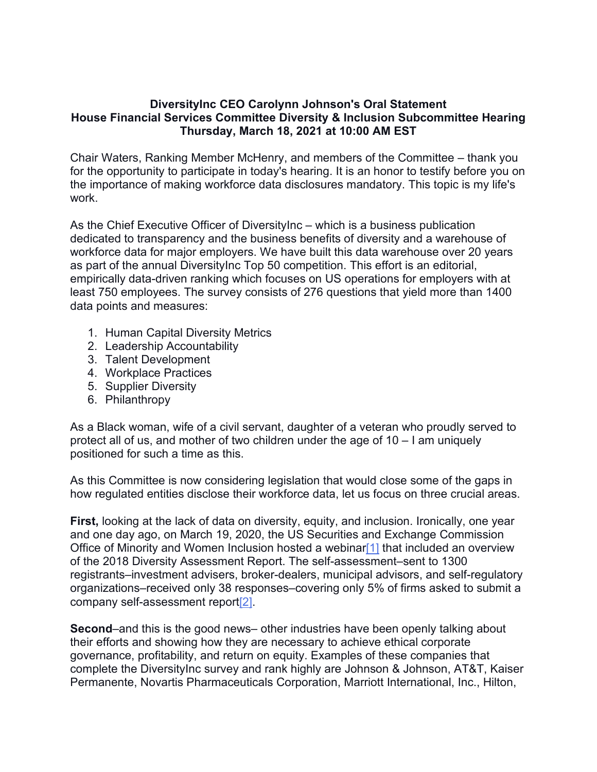## **DiversityInc CEO Carolynn Johnson's Oral Statement House Financial Services Committee Diversity & Inclusion Subcommittee Hearing Thursday, March 18, 2021 at 10:00 AM EST**

Chair Waters, Ranking Member McHenry, and members of the Committee – thank you for the opportunity to participate in today's hearing. It is an honor to testify before you on the importance of making workforce data disclosures mandatory. This topic is my life's work.

As the Chief Executive Officer of DiversityInc – which is a business publication dedicated to transparency and the business benefits of diversity and a warehouse of workforce data for major employers. We have built this data warehouse over 20 years as part of the annual DiversityInc Top 50 competition. This effort is an editorial, empirically data-driven ranking which focuses on US operations for employers with at least 750 employees. The survey consists of 276 questions that yield more than 1400 data points and measures:

- 1. Human Capital Diversity Metrics
- 2. Leadership Accountability
- 3. Talent Development
- 4. Workplace Practices
- 5. Supplier Diversity
- 6. Philanthropy

As a Black woman, wife of a civil servant, daughter of a veteran who proudly served to protect all of us, and mother of two children under the age of 10 – I am uniquely positioned for such a time as this.

As this Committee is now considering legislation that would close some of the gaps in how regulated entities disclose their workforce data, let us focus on three crucial areas.

**First,** looking at the lack of data on diversity, equity, and inclusion. Ironically, one year and one day ago, on March 19, 2020, the US Securities and Exchange Commission Office of Minority and Women Inclusion hosted a webinar<sup>[1]</sup> that included an overview of the 2018 Diversity Assessment Report. The self-assessment–sent to 1300 registrants–investment advisers, broker-dealers, municipal advisors, and self-regulatory organizations–received only 38 responses–covering only 5% of firms asked to submit a company self-assessment report[2].

**Second**–and this is the good news– other industries have been openly talking about their efforts and showing how they are necessary to achieve ethical corporate governance, profitability, and return on equity. Examples of these companies that complete the DiversityInc survey and rank highly are Johnson & Johnson, AT&T, Kaiser Permanente, Novartis Pharmaceuticals Corporation, Marriott International, Inc., Hilton,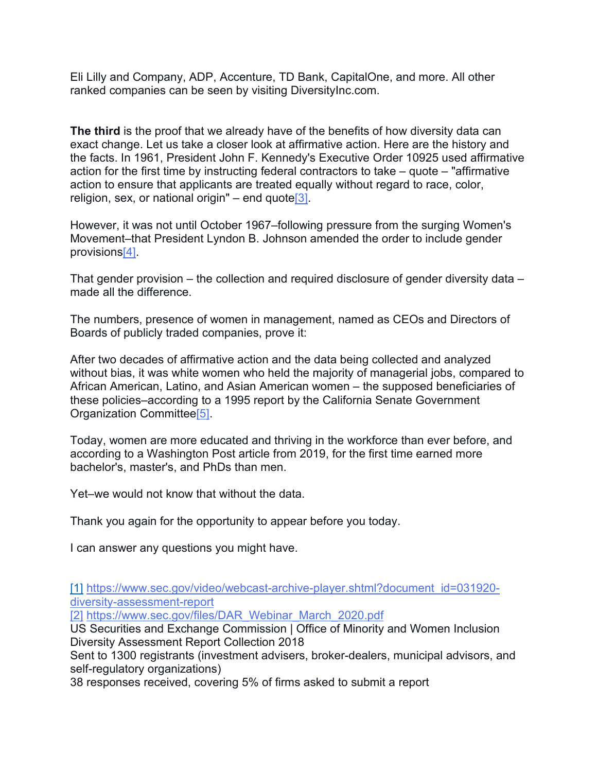Eli Lilly and Company, ADP, Accenture, TD Bank, CapitalOne, and more. All other ranked companies can be seen by visiting DiversityInc.com.

**The third** is the proof that we already have of the benefits of how diversity data can exact change. Let us take a closer look at affirmative action. Here are the history and the facts. In 1961, President John F. Kennedy's Executive Order 10925 used affirmative action for the first time by instructing federal contractors to take – quote – "affirmative action to ensure that applicants are treated equally without regard to race, color, religion, sex, or national origin" – end quote  $3$ .

However, it was not until October 1967–following pressure from the surging Women's Movement–that President Lyndon B. Johnson amended the order to include gender provisions[4].

That gender provision – the collection and required disclosure of gender diversity data – made all the difference.

The numbers, presence of women in management, named as CEOs and Directors of Boards of publicly traded companies, prove it:

After two decades of affirmative action and the data being collected and analyzed without bias, it was white women who held the majority of managerial jobs, compared to African American, Latino, and Asian American women – the supposed beneficiaries of these policies–according to a 1995 report by the California Senate Government Organization Committee[5].

Today, women are more educated and thriving in the workforce than ever before, and according to a Washington Post article from 2019, for the first time earned more bachelor's, master's, and PhDs than men.

Yet–we would not know that without the data.

Thank you again for the opportunity to appear before you today.

I can answer any questions you might have.

[1] [https://www.sec.gov/video/webcast-archive-player.shtml?document\\_id=031920](https://www.sec.gov/video/webcast-archive-player.shtml?document_id=031920-diversity-assessment-report) [diversity-assessment-report](https://www.sec.gov/video/webcast-archive-player.shtml?document_id=031920-diversity-assessment-report)

[2] [https://www.sec.gov/files/DAR\\_Webinar\\_March\\_2020.pdf](https://www.sec.gov/files/DAR_Webinar_March_2020.pdf)

US Securities and Exchange Commission | Office of Minority and Women Inclusion Diversity Assessment Report Collection 2018

Sent to 1300 registrants (investment advisers, broker-dealers, municipal advisors, and self-regulatory organizations)

38 responses received, covering 5% of firms asked to submit a report